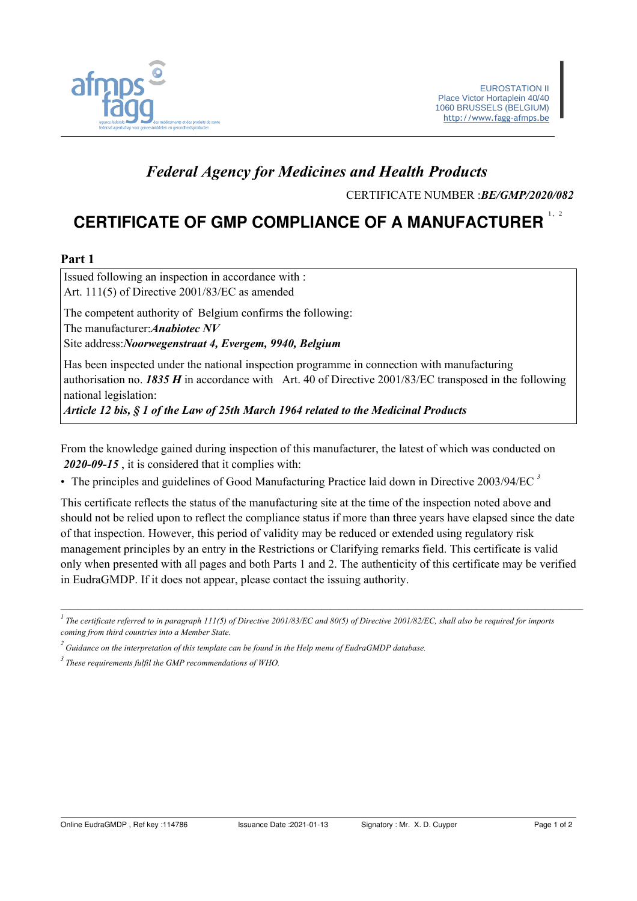

## **Federal Agency for Medicines and Health Products**

CERTIFICATE NUMBER : BE/GMP/2020/082

# **CERTIFICATE OF GMP COMPLIANCE OF A MANUFACTURER**

#### Part 1

Issued following an inspection in accordance with : Art. 111(5) of Directive 2001/83/EC as amended The competent authority of Belgium confirms the following:

The manufacturer: Anabiotec NV

Site address: Noorwegenstraat 4, Evergem, 9940, Belgium

Has been inspected under the national inspection programme in connection with manufacturing authorisation no. 1835  $H$  in accordance with Art. 40 of Directive 2001/83/EC transposed in the following national legislation:

Article 12 bis, § 1 of the Law of 25th March 1964 related to the Medicinal Products

From the knowledge gained during inspection of this manufacturer, the latest of which was conducted on 2020-09-15, it is considered that it complies with:

• The principles and guidelines of Good Manufacturing Practice laid down in Directive  $2003/94/EC$ <sup>3</sup>

This certificate reflects the status of the manufacturing site at the time of the inspection noted above and should not be relied upon to reflect the compliance status if more than three years have elapsed since the date of that inspection. However, this period of validity may be reduced or extended using regulatory risk management principles by an entry in the Restrictions or Clarifying remarks field. This certificate is valid only when presented with all pages and both Parts 1 and 2. The authenticity of this certificate may be verified in EudraGMDP. If it does not appear, please contact the issuing authority.

 $\frac{1}{1}$ The certificate referred to in paragraph 111(5) of Directive 2001/83/EC and 80(5) of Directive 2001/82/EC, shall also be required for imports coming from third countries into a Member State.

 $\alpha$ <sup>2</sup> Guidance on the interpretation of this template can be found in the Help menu of EudraGMDP database.

 $3$  These requirements fulfil the GMP recommendations of WHO.